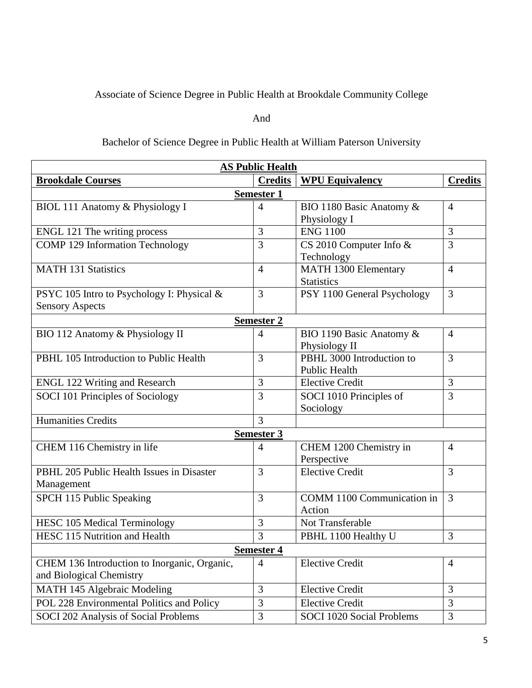## Associate of Science Degree in Public Health at Brookdale Community College

## And

## Bachelor of Science Degree in Public Health at William Paterson University

| <b>AS Public Health</b>                      |                   |                                  |                |  |  |  |
|----------------------------------------------|-------------------|----------------------------------|----------------|--|--|--|
| <b>Brookdale Courses</b>                     | <b>Credits</b>    | <b>WPU Equivalency</b>           | <b>Credits</b> |  |  |  |
| <b>Semester 1</b>                            |                   |                                  |                |  |  |  |
| BIOL 111 Anatomy & Physiology I              | $\overline{4}$    | BIO 1180 Basic Anatomy &         | $\overline{4}$ |  |  |  |
|                                              |                   | Physiology I                     |                |  |  |  |
| ENGL 121 The writing process                 | 3                 | <b>ENG 1100</b>                  | 3              |  |  |  |
| <b>COMP 129 Information Technology</b>       | 3                 | CS 2010 Computer Info &          | 3              |  |  |  |
|                                              |                   | Technology                       |                |  |  |  |
| <b>MATH 131 Statistics</b>                   | $\overline{4}$    | MATH 1300 Elementary             | $\overline{4}$ |  |  |  |
|                                              |                   | <b>Statistics</b>                |                |  |  |  |
| PSYC 105 Intro to Psychology I: Physical &   | 3                 | PSY 1100 General Psychology      | 3              |  |  |  |
| <b>Sensory Aspects</b>                       |                   |                                  |                |  |  |  |
|                                              | <b>Semester 2</b> |                                  |                |  |  |  |
| BIO 112 Anatomy & Physiology II              | $\overline{4}$    | BIO 1190 Basic Anatomy &         | $\overline{4}$ |  |  |  |
|                                              |                   | Physiology II                    |                |  |  |  |
| PBHL 105 Introduction to Public Health       | $\overline{3}$    | PBHL 3000 Introduction to        | $\overline{3}$ |  |  |  |
|                                              |                   | <b>Public Health</b>             |                |  |  |  |
| <b>ENGL 122 Writing and Research</b>         | 3                 | <b>Elective Credit</b>           | 3              |  |  |  |
| SOCI 101 Principles of Sociology             | 3                 | SOCI 1010 Principles of          | 3              |  |  |  |
|                                              |                   | Sociology                        |                |  |  |  |
| <b>Humanities Credits</b>                    | 3                 |                                  |                |  |  |  |
| Semester 3                                   |                   |                                  |                |  |  |  |
| CHEM 116 Chemistry in life                   | $\overline{4}$    | CHEM 1200 Chemistry in           | $\overline{4}$ |  |  |  |
|                                              |                   | Perspective                      |                |  |  |  |
| PBHL 205 Public Health Issues in Disaster    | 3                 | <b>Elective Credit</b>           | 3              |  |  |  |
| Management                                   |                   |                                  |                |  |  |  |
| SPCH 115 Public Speaking                     | 3                 | COMM 1100 Communication in       | $\overline{3}$ |  |  |  |
|                                              |                   | Action                           |                |  |  |  |
| <b>HESC 105 Medical Terminology</b>          | 3                 | Not Transferable                 |                |  |  |  |
| HESC 115 Nutrition and Health                | 3                 | PBHL 1100 Healthy U              | 3              |  |  |  |
| Semester 4                                   |                   |                                  |                |  |  |  |
| CHEM 136 Introduction to Inorganic, Organic, | $\overline{4}$    | <b>Elective Credit</b>           | $\overline{4}$ |  |  |  |
| and Biological Chemistry                     |                   |                                  |                |  |  |  |
| MATH 145 Algebraic Modeling                  | 3                 | <b>Elective Credit</b>           | 3              |  |  |  |
| POL 228 Environmental Politics and Policy    | 3                 | <b>Elective Credit</b>           | 3              |  |  |  |
| SOCI 202 Analysis of Social Problems         | 3                 | <b>SOCI 1020 Social Problems</b> | 3              |  |  |  |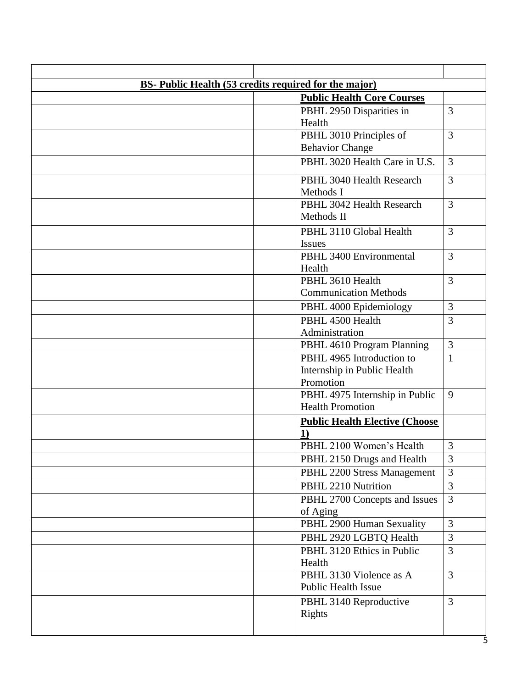| <b>BS-</b> Public Health (53 credits required for the major) |                                       |                |  |  |  |  |
|--------------------------------------------------------------|---------------------------------------|----------------|--|--|--|--|
|                                                              | <b>Public Health Core Courses</b>     |                |  |  |  |  |
|                                                              | PBHL 2950 Disparities in              | 3              |  |  |  |  |
|                                                              | Health                                |                |  |  |  |  |
|                                                              | PBHL 3010 Principles of               | 3              |  |  |  |  |
|                                                              | <b>Behavior Change</b>                |                |  |  |  |  |
|                                                              | PBHL 3020 Health Care in U.S.         | $\overline{3}$ |  |  |  |  |
|                                                              | PBHL 3040 Health Research             | 3              |  |  |  |  |
|                                                              | Methods I                             |                |  |  |  |  |
|                                                              | PBHL 3042 Health Research             | 3              |  |  |  |  |
|                                                              | Methods II                            |                |  |  |  |  |
|                                                              | PBHL 3110 Global Health               | 3              |  |  |  |  |
|                                                              | <b>Issues</b>                         |                |  |  |  |  |
|                                                              | PBHL 3400 Environmental               | 3              |  |  |  |  |
|                                                              | Health                                |                |  |  |  |  |
|                                                              | PBHL 3610 Health                      | $\overline{3}$ |  |  |  |  |
|                                                              | <b>Communication Methods</b>          |                |  |  |  |  |
|                                                              | PBHL 4000 Epidemiology                | 3              |  |  |  |  |
|                                                              | PBHL 4500 Health                      | $\overline{3}$ |  |  |  |  |
|                                                              | Administration                        |                |  |  |  |  |
|                                                              | PBHL 4610 Program Planning            | 3              |  |  |  |  |
|                                                              | PBHL 4965 Introduction to             | $\mathbf{1}$   |  |  |  |  |
|                                                              | Internship in Public Health           |                |  |  |  |  |
|                                                              | Promotion                             |                |  |  |  |  |
|                                                              | PBHL 4975 Internship in Public        | 9              |  |  |  |  |
|                                                              | <b>Health Promotion</b>               |                |  |  |  |  |
|                                                              | <b>Public Health Elective (Choose</b> |                |  |  |  |  |
|                                                              | $\bf{1}$                              |                |  |  |  |  |
|                                                              | PBHL 2100 Women's Health              | 3              |  |  |  |  |
|                                                              | PBHL 2150 Drugs and Health            | 3              |  |  |  |  |
|                                                              | PBHL 2200 Stress Management           | 3              |  |  |  |  |
|                                                              | PBHL 2210 Nutrition                   | $\overline{3}$ |  |  |  |  |
|                                                              | PBHL 2700 Concepts and Issues         | 3              |  |  |  |  |
|                                                              | of Aging                              |                |  |  |  |  |
|                                                              | PBHL 2900 Human Sexuality             | 3              |  |  |  |  |
|                                                              | PBHL 2920 LGBTQ Health                | 3              |  |  |  |  |
|                                                              | PBHL 3120 Ethics in Public<br>Health  | 3              |  |  |  |  |
|                                                              | PBHL 3130 Violence as A               | 3              |  |  |  |  |
|                                                              | Public Health Issue                   |                |  |  |  |  |
|                                                              | PBHL 3140 Reproductive                | 3              |  |  |  |  |
|                                                              | Rights                                |                |  |  |  |  |
|                                                              |                                       |                |  |  |  |  |
|                                                              |                                       | 5              |  |  |  |  |